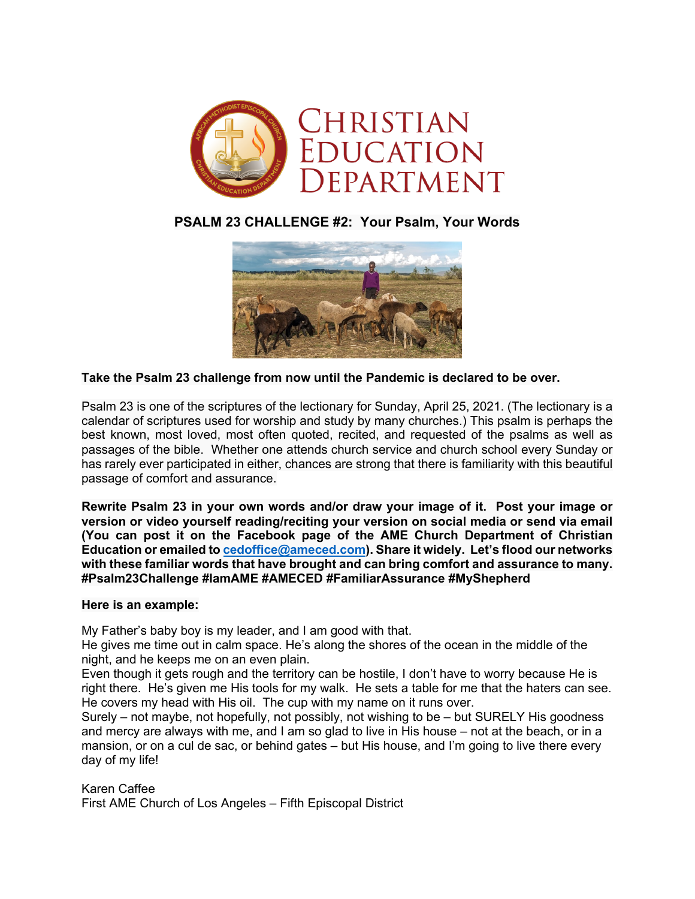

## **PSALM 23 CHALLENGE #2: Your Psalm, Your Words**



## **Take the Psalm 23 challenge from now until the Pandemic is declared to be over.**

Psalm 23 is one of the scriptures of the lectionary for Sunday, April 25, 2021. (The lectionary is a calendar of scriptures used for worship and study by many churches.) This psalm is perhaps the best known, most loved, most often quoted, recited, and requested of the psalms as well as passages of the bible. Whether one attends church service and church school every Sunday or has rarely ever participated in either, chances are strong that there is familiarity with this beautiful passage of comfort and assurance.

**Rewrite Psalm 23 in your own words and/or draw your image of it. Post your image or version or video yourself reading/reciting your version on social media or send via email (You can post it on the Facebook page of the AME Church Department of Christian Education or emailed to cedoffice@ameced.com). Share it widely. Let's flood our networks with these familiar words that have brought and can bring comfort and assurance to many. #Psalm23Challenge #IamAME #AMECED #FamiliarAssurance #MyShepherd**

## **Here is an example:**

My Father's baby boy is my leader, and I am good with that.

He gives me time out in calm space. He's along the shores of the ocean in the middle of the night, and he keeps me on an even plain.

Even though it gets rough and the territory can be hostile, I don't have to worry because He is right there. He's given me His tools for my walk. He sets a table for me that the haters can see. He covers my head with His oil. The cup with my name on it runs over.

Surely – not maybe, not hopefully, not possibly, not wishing to be – but SURELY His goodness and mercy are always with me, and I am so glad to live in His house – not at the beach, or in a mansion, or on a cul de sac, or behind gates – but His house, and I'm going to live there every day of my life!

Karen Caffee First AME Church of Los Angeles – Fifth Episcopal District